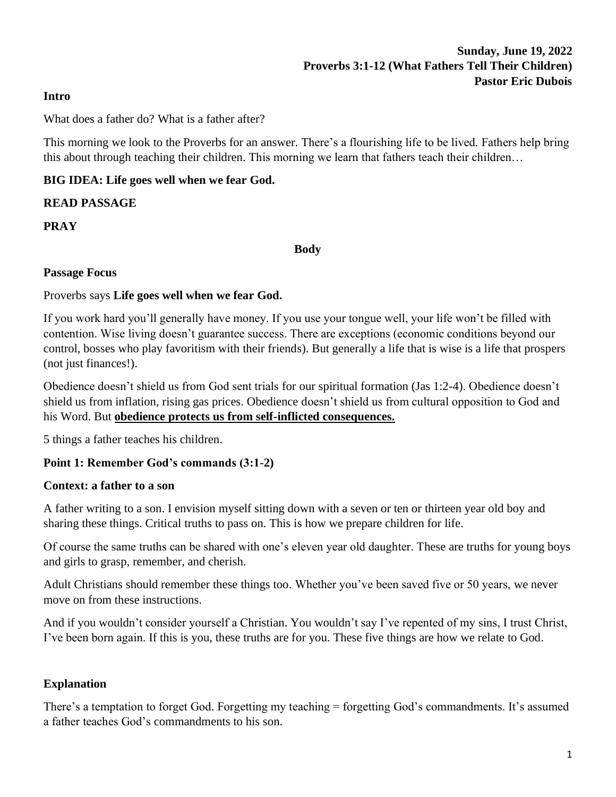### **Sunday, June 19, 2022 Proverbs 3:1-12 (What Fathers Tell Their Children) Pastor Eric Dubois**

#### **Intro**

What does a father do? What is a father after?

This morning we look to the Proverbs for an answer. There's a flourishing life to be lived. Fathers help bring this about through teaching their children. This morning we learn that fathers teach their children…

### **BIG IDEA: Life goes well when we fear God.**

#### **READ PASSAGE**

**PRAY**

**Body**

#### **Passage Focus**

#### Proverbs says **Life goes well when we fear God.**

If you work hard you'll generally have money. If you use your tongue well, your life won't be filled with contention. Wise living doesn't guarantee success. There are exceptions (economic conditions beyond our control, bosses who play favoritism with their friends). But generally a life that is wise is a life that prospers (not just finances!).

Obedience doesn't shield us from God sent trials for our spiritual formation (Jas 1:2-4). Obedience doesn't shield us from inflation, rising gas prices. Obedience doesn't shield us from cultural opposition to God and his Word. But **obedience protects us from self-inflicted consequences.**

5 things a father teaches his children.

#### **Point 1: Remember God's commands (3:1-2)**

#### **Context: a father to a son**

A father writing to a son. I envision myself sitting down with a seven or ten or thirteen year old boy and sharing these things. Critical truths to pass on. This is how we prepare children for life.

Of course the same truths can be shared with one's eleven year old daughter. These are truths for young boys and girls to grasp, remember, and cherish.

Adult Christians should remember these things too. Whether you've been saved five or 50 years, we never move on from these instructions.

And if you wouldn't consider yourself a Christian. You wouldn't say I've repented of my sins, I trust Christ, I've been born again. If this is you, these truths are for you. These five things are how we relate to God.

#### **Explanation**

There's a temptation to forget God. Forgetting my teaching = forgetting God's commandments. It's assumed a father teaches God's commandments to his son.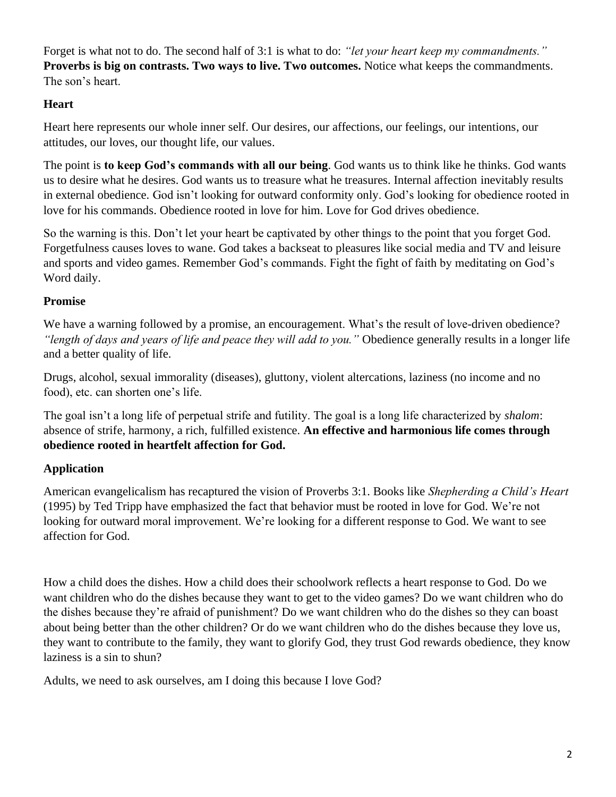Forget is what not to do. The second half of 3:1 is what to do: *"let your heart keep my commandments."* **Proverbs is big on contrasts. Two ways to live. Two outcomes.** Notice what keeps the commandments. The son's heart.

## **Heart**

Heart here represents our whole inner self. Our desires, our affections, our feelings, our intentions, our attitudes, our loves, our thought life, our values.

The point is **to keep God's commands with all our being**. God wants us to think like he thinks. God wants us to desire what he desires. God wants us to treasure what he treasures. Internal affection inevitably results in external obedience. God isn't looking for outward conformity only. God's looking for obedience rooted in love for his commands. Obedience rooted in love for him. Love for God drives obedience.

So the warning is this. Don't let your heart be captivated by other things to the point that you forget God. Forgetfulness causes loves to wane. God takes a backseat to pleasures like social media and TV and leisure and sports and video games. Remember God's commands. Fight the fight of faith by meditating on God's Word daily.

## **Promise**

We have a warning followed by a promise, an encouragement. What's the result of love-driven obedience? *"length of days and years of life and peace they will add to you."* Obedience generally results in a longer life and a better quality of life.

Drugs, alcohol, sexual immorality (diseases), gluttony, violent altercations, laziness (no income and no food), etc. can shorten one's life.

The goal isn't a long life of perpetual strife and futility. The goal is a long life characterized by *shalom*: absence of strife, harmony, a rich, fulfilled existence. **An effective and harmonious life comes through obedience rooted in heartfelt affection for God.**

# **Application**

American evangelicalism has recaptured the vision of Proverbs 3:1. Books like *Shepherding a Child's Heart* (1995) by Ted Tripp have emphasized the fact that behavior must be rooted in love for God. We're not looking for outward moral improvement. We're looking for a different response to God. We want to see affection for God.

How a child does the dishes. How a child does their schoolwork reflects a heart response to God. Do we want children who do the dishes because they want to get to the video games? Do we want children who do the dishes because they're afraid of punishment? Do we want children who do the dishes so they can boast about being better than the other children? Or do we want children who do the dishes because they love us, they want to contribute to the family, they want to glorify God, they trust God rewards obedience, they know laziness is a sin to shun?

Adults, we need to ask ourselves, am I doing this because I love God?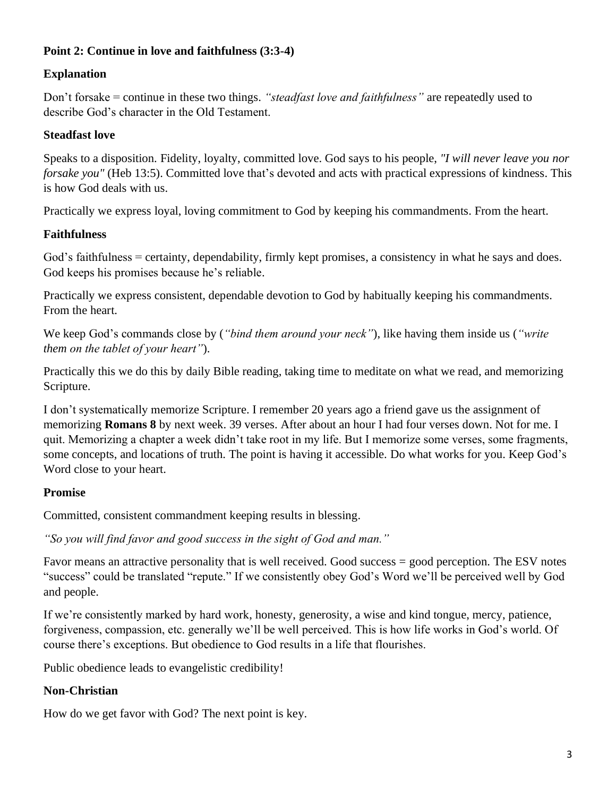### **Point 2: Continue in love and faithfulness (3:3-4)**

### **Explanation**

Don't forsake = continue in these two things. *"steadfast love and faithfulness"* are repeatedly used to describe God's character in the Old Testament.

#### **Steadfast love**

Speaks to a disposition. Fidelity, loyalty, committed love. God says to his people, *"I will never leave you nor forsake you"* (Heb 13:5). Committed love that's devoted and acts with practical expressions of kindness. This is how God deals with us.

Practically we express loyal, loving commitment to God by keeping his commandments. From the heart.

### **Faithfulness**

God's faithfulness = certainty, dependability, firmly kept promises, a consistency in what he says and does. God keeps his promises because he's reliable.

Practically we express consistent, dependable devotion to God by habitually keeping his commandments. From the heart.

We keep God's commands close by (*"bind them around your neck"*), like having them inside us (*"write them on the tablet of your heart"*).

Practically this we do this by daily Bible reading, taking time to meditate on what we read, and memorizing Scripture.

I don't systematically memorize Scripture. I remember 20 years ago a friend gave us the assignment of memorizing **Romans 8** by next week. 39 verses. After about an hour I had four verses down. Not for me. I quit. Memorizing a chapter a week didn't take root in my life. But I memorize some verses, some fragments, some concepts, and locations of truth. The point is having it accessible. Do what works for you. Keep God's Word close to your heart.

### **Promise**

Committed, consistent commandment keeping results in blessing.

*"So you will find favor and good success in the sight of God and man."*

Favor means an attractive personality that is well received. Good success = good perception. The ESV notes "success" could be translated "repute." If we consistently obey God's Word we'll be perceived well by God and people.

If we're consistently marked by hard work, honesty, generosity, a wise and kind tongue, mercy, patience, forgiveness, compassion, etc. generally we'll be well perceived. This is how life works in God's world. Of course there's exceptions. But obedience to God results in a life that flourishes.

Public obedience leads to evangelistic credibility!

### **Non-Christian**

How do we get favor with God? The next point is key.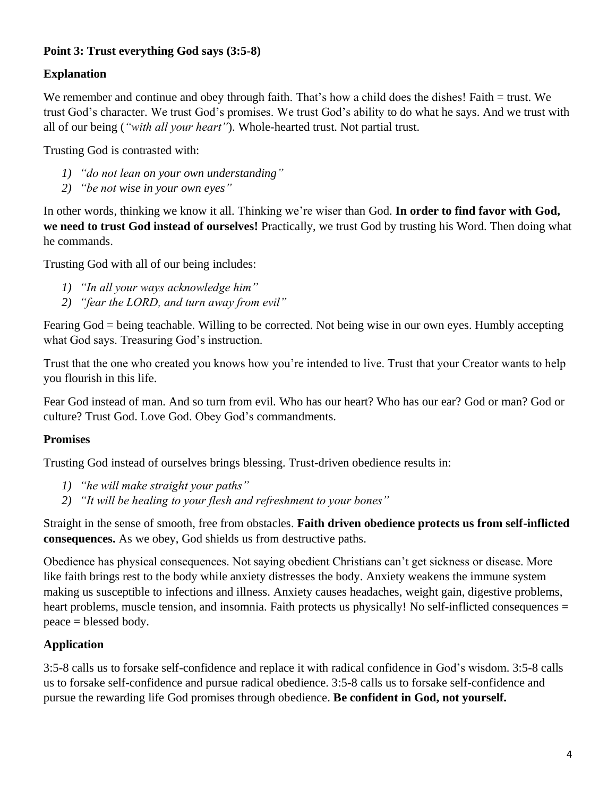## **Point 3: Trust everything God says (3:5-8)**

## **Explanation**

We remember and continue and obey through faith. That's how a child does the dishes! Faith = trust. We trust God's character. We trust God's promises. We trust God's ability to do what he says. And we trust with all of our being (*"with all your heart"*). Whole-hearted trust. Not partial trust.

Trusting God is contrasted with:

- *1) "do not lean on your own understanding"*
- *2) "be not wise in your own eyes"*

In other words, thinking we know it all. Thinking we're wiser than God. **In order to find favor with God, we need to trust God instead of ourselves!** Practically, we trust God by trusting his Word. Then doing what he commands.

Trusting God with all of our being includes:

- *1) "In all your ways acknowledge him"*
- *2) "fear the LORD, and turn away from evil"*

Fearing God = being teachable. Willing to be corrected. Not being wise in our own eyes. Humbly accepting what God says. Treasuring God's instruction.

Trust that the one who created you knows how you're intended to live. Trust that your Creator wants to help you flourish in this life.

Fear God instead of man. And so turn from evil. Who has our heart? Who has our ear? God or man? God or culture? Trust God. Love God. Obey God's commandments.

### **Promises**

Trusting God instead of ourselves brings blessing. Trust-driven obedience results in:

- *1) "he will make straight your paths"*
- *2) "It will be healing to your flesh and refreshment to your bones"*

Straight in the sense of smooth, free from obstacles. **Faith driven obedience protects us from self-inflicted consequences.** As we obey, God shields us from destructive paths.

Obedience has physical consequences. Not saying obedient Christians can't get sickness or disease. More like faith brings rest to the body while anxiety distresses the body. Anxiety weakens the immune system making us susceptible to infections and illness. Anxiety causes headaches, weight gain, digestive problems, heart problems, muscle tension, and insomnia. Faith protects us physically! No self-inflicted consequences = peace = blessed body.

# **Application**

3:5-8 calls us to forsake self-confidence and replace it with radical confidence in God's wisdom. 3:5-8 calls us to forsake self-confidence and pursue radical obedience. 3:5-8 calls us to forsake self-confidence and pursue the rewarding life God promises through obedience. **Be confident in God, not yourself.**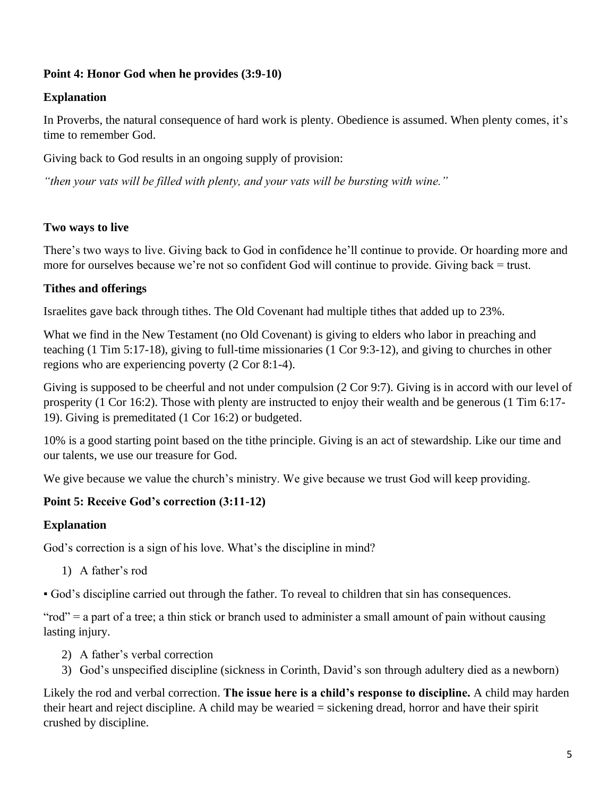### **Point 4: Honor God when he provides (3:9-10)**

### **Explanation**

In Proverbs, the natural consequence of hard work is plenty. Obedience is assumed. When plenty comes, it's time to remember God.

Giving back to God results in an ongoing supply of provision:

*"then your vats will be filled with plenty, and your vats will be bursting with wine."*

### **Two ways to live**

There's two ways to live. Giving back to God in confidence he'll continue to provide. Or hoarding more and more for ourselves because we're not so confident God will continue to provide. Giving back = trust.

### **Tithes and offerings**

Israelites gave back through tithes. The Old Covenant had multiple tithes that added up to 23%.

What we find in the New Testament (no Old Covenant) is giving to elders who labor in preaching and teaching (1 Tim 5:17-18), giving to full-time missionaries (1 Cor 9:3-12), and giving to churches in other regions who are experiencing poverty (2 Cor 8:1-4).

Giving is supposed to be cheerful and not under compulsion (2 Cor 9:7). Giving is in accord with our level of prosperity (1 Cor 16:2). Those with plenty are instructed to enjoy their wealth and be generous (1 Tim 6:17- 19). Giving is premeditated (1 Cor 16:2) or budgeted.

10% is a good starting point based on the tithe principle. Giving is an act of stewardship. Like our time and our talents, we use our treasure for God.

We give because we value the church's ministry. We give because we trust God will keep providing.

### **Point 5: Receive God's correction (3:11-12)**

#### **Explanation**

God's correction is a sign of his love. What's the discipline in mind?

1) A father's rod

▪ God's discipline carried out through the father. To reveal to children that sin has consequences.

"rod" = a part of a tree; a thin stick or branch used to administer a small amount of pain without causing lasting injury.

- 2) A father's verbal correction
- 3) God's unspecified discipline (sickness in Corinth, David's son through adultery died as a newborn)

Likely the rod and verbal correction. **The issue here is a child's response to discipline.** A child may harden their heart and reject discipline. A child may be wearied = sickening dread, horror and have their spirit crushed by discipline.